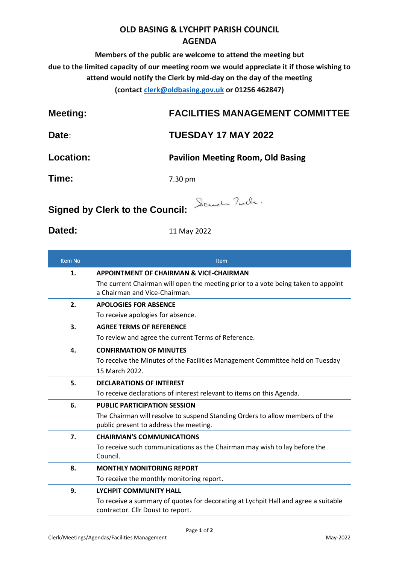## **OLD BASING & LYCHPIT PARISH COUNCIL AGENDA**

**Members of the public are welcome to attend the meeting but due to the limited capacity of our meeting room we would appreciate it if those wishing to attend would notify the Clerk by mid-day on the day of the meeting (contact [clerk@oldbasing.gov.uk](mailto:clerk@oldbasing.gov.uk) or 01256 462847)**

| <b>Meeting:</b> | <b>FACILITIES MANAGEMENT COMMITTEE</b> |
|-----------------|----------------------------------------|
|                 |                                        |

## **Date**: **TUESDAY 17 MAY 2022**

**Location: Pavilion Meeting Room, Old Basing**

**Time:** 7.30 pm

**Signed by Clerk to the Council:** Sand Tuch.

**Dated:** 11 May 2022

| <b>Item No</b> | Item                                                                                                                    |
|----------------|-------------------------------------------------------------------------------------------------------------------------|
| 1.             | <b>APPOINTMENT OF CHAIRMAN &amp; VICE-CHAIRMAN</b>                                                                      |
|                | The current Chairman will open the meeting prior to a vote being taken to appoint<br>a Chairman and Vice-Chairman.      |
| 2.             | <b>APOLOGIES FOR ABSENCE</b>                                                                                            |
|                | To receive apologies for absence.                                                                                       |
| 3.             | <b>AGREE TERMS OF REFERENCE</b>                                                                                         |
|                | To review and agree the current Terms of Reference.                                                                     |
| 4.             | <b>CONFIRMATION OF MINUTES</b>                                                                                          |
|                | To receive the Minutes of the Facilities Management Committee held on Tuesday                                           |
|                | 15 March 2022.                                                                                                          |
| 5.             | <b>DECLARATIONS OF INTEREST</b>                                                                                         |
|                | To receive declarations of interest relevant to items on this Agenda.                                                   |
| 6.             | <b>PUBLIC PARTICIPATION SESSION</b>                                                                                     |
|                | The Chairman will resolve to suspend Standing Orders to allow members of the                                            |
|                | public present to address the meeting.                                                                                  |
| 7.             | <b>CHAIRMAN'S COMMUNICATIONS</b>                                                                                        |
|                | To receive such communications as the Chairman may wish to lay before the                                               |
|                | Council.                                                                                                                |
| 8.             | <b>MONTHLY MONITORING REPORT</b>                                                                                        |
|                | To receive the monthly monitoring report.                                                                               |
| 9.             | <b>LYCHPIT COMMUNITY HALL</b>                                                                                           |
|                | To receive a summary of quotes for decorating at Lychpit Hall and agree a suitable<br>contractor. Cllr Doust to report. |